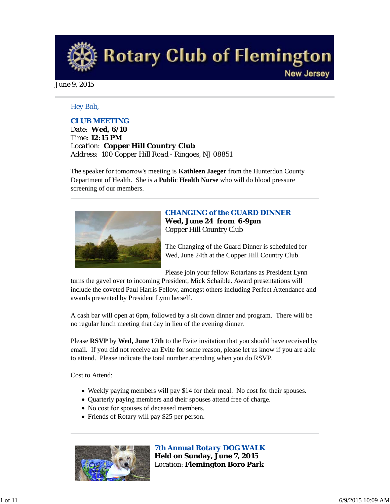**Rotary Club of Flemington New Jersey** 

June 9, 2015

#### *Hey Bob,*

### *CLUB MEETING*

*Date: Wed, 6/10 Time: 12:15 PM Location: Copper Hill Country Club Address: 100 Copper Hill Road - Ringoes, NJ 08851*

The speaker for tomorrow's meeting is **Kathleen Jaeger** from the Hunterdon County Department of Health. She is a **Public Health Nurse** who will do blood pressure screening of our members.



#### *CHANGING of the GUARD DINNER* **Wed, June 24 from 6-9pm** Copper Hill Country Club

The Changing of the Guard Dinner is scheduled for Wed, June 24th at the Copper Hill Country Club.

Please join your fellow Rotarians as President Lynn

turns the gavel over to incoming President, Mick Schaible. Award presentations will include the coveted Paul Harris Fellow, amongst others including Perfect Attendance and awards presented by President Lynn herself.

A cash bar will open at 6pm, followed by a sit down dinner and program. There will be no regular lunch meeting that day in lieu of the evening dinner.

Please **RSVP** by **Wed, June 17th** to the Evite invitation that you should have received by email. If you did not receive an Evite for some reason, please let us know if you are able to attend. Please indicate the total number attending when you do RSVP.

#### Cost to Attend:

- Weekly paying members will pay \$14 for their meal. No cost for their spouses.
- Quarterly paying members and their spouses attend free of charge.
- No cost for spouses of deceased members.
- Friends of Rotary will pay \$25 per person.



*7th Annual Rotary DOG WALK* **Held on Sunday, June 7, 2015** Location: **Flemington Boro Park**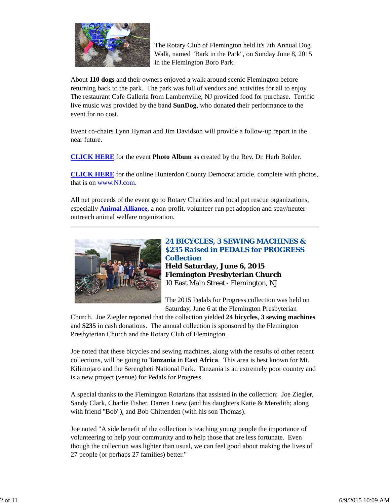

The Rotary Club of Flemington held it's 7th Annual Dog Walk, named "Bark in the Park", on Sunday June 8, 2015 in the Flemington Boro Park.

About **110 dogs** and their owners enjoyed a walk around scenic Flemington before returning back to the park. The park was full of vendors and activities for all to enjoy. The restaurant Cafe Galleria from Lambertville, NJ provided food for purchase. Terrific live music was provided by the band **SunDog**, who donated their performance to the event for no cost.

Event co-chairs Lynn Hyman and Jim Davidson will provide a follow-up report in the near future.

**CLICK HERE** for the event **Photo Album** as created by the Rev. Dr. Herb Bohler.

**CLICK HERE** for the online Hunterdon County Democrat article, complete with photos, that is on www.NJ.com.

All net proceeds of the event go to Rotary Charities and local pet rescue organizations, especially **Animal Alliance**, a non-profit, volunteer-run pet adoption and spay/neuter outreach animal welfare organization.



# *24 BICYCLES, 3 SEWING MACHINES & \$235 Raised in PEDALS for PROGRESS Collection* **Held Saturday, June 6, 2015**

**Flemington Presbyterian Church** 10 East Main Street - Flemington, NJ

The 2015 Pedals for Progress collection was held on Saturday, June 6 at the Flemington Presbyterian

Church. Joe Ziegler reported that the collection yielded **24 bicycles**, **3 sewing machines** and **\$235** in cash donations. The annual collection is sponsored by the Flemington Presbyterian Church and the Rotary Club of Flemington.

Joe noted that these bicycles and sewing machines, along with the results of other recent collections, will be going to **Tanzania** in **East Africa**. This area is best known for Mt. Kilimojaro and the Serengheti National Park. Tanzania is an extremely poor country and is a new project (venue) for Pedals for Progress.

A special thanks to the Flemington Rotarians that assisted in the collection: Joe Ziegler, Sandy Clark, Charlie Fisher, Darren Loew (and his daughters Katie & Meredith; along with friend "Bob"), and Bob Chittenden (with his son Thomas).

Joe noted "A side benefit of the collection is teaching young people the importance of volunteering to help your community and to help those that are less fortunate. Even though the collection was lighter than usual, we can feel good about making the lives of 27 people (or perhaps 27 families) better."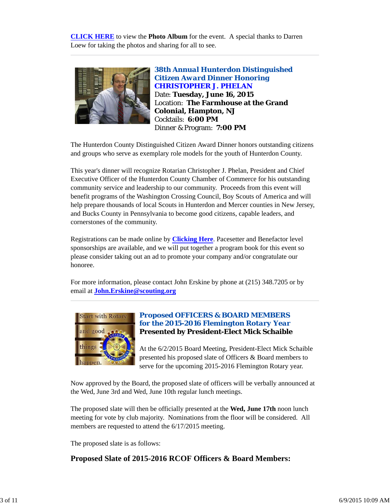**CLICK HERE** to view the **Photo Album** for the event. A special thanks to Darren Loew for taking the photos and sharing for all to see.



*38th Annual Hunterdon Distinguished Citizen Award Dinner Honoring CHRISTOPHER J. PHELAN* Date: **Tuesday, June 16, 2015** Location: **The Farmhouse at the Grand Colonial, Hampton, NJ** Cocktails: **6:00 PM** Dinner & Program: **7:00 PM**

The Hunterdon County Distinguished Citizen Award Dinner honors outstanding citizens and groups who serve as exemplary role models for the youth of Hunterdon County.

This year's dinner will recognize Rotarian Christopher J. Phelan, President and Chief Executive Officer of the Hunterdon County Chamber of Commerce for his outstanding community service and leadership to our community. Proceeds from this event will benefit programs of the Washington Crossing Council, Boy Scouts of America and will help prepare thousands of local Scouts in Hunterdon and Mercer counties in New Jersey, and Bucks County in Pennsylvania to become good citizens, capable leaders, and cornerstones of the community.

Registrations can be made online by **Clicking Here**. Pacesetter and Benefactor level sponsorships are available, and we will put together a program book for this event so please consider taking out an ad to promote your company and/or congratulate our honoree.

For more information, please contact John Erskine by phone at (215) 348.7205 or by email at **John.Erskine@scouting.org**



# *Proposed OFFICERS & BOARD MEMBERS for the 2015-2016 Flemington Rotary Year* **Presented by President-Elect Mick Schaible**

At the 6/2/2015 Board Meeting, President-Elect Mick Schaible presented his proposed slate of Officers & Board members to serve for the upcoming 2015-2016 Flemington Rotary year.

Now approved by the Board, the proposed slate of officers will be verbally announced at the Wed, June 3rd and Wed, June 10th regular lunch meetings.

The proposed slate will then be officially presented at the **Wed, June 17th** noon lunch meeting for vote by club majority. Nominations from the floor will be considered. All members are requested to attend the 6/17/2015 meeting.

The proposed slate is as follows:

# **Proposed Slate of 2015-2016 RCOF Officers & Board Members:**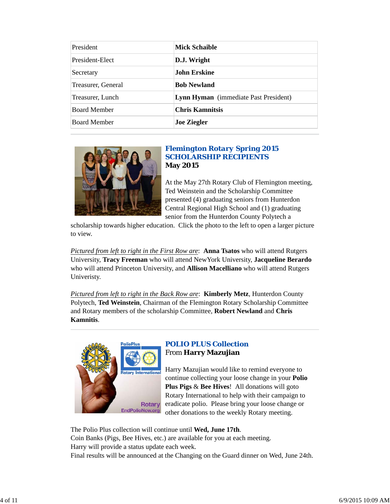| President           | <b>Mick Schaible</b>                  |
|---------------------|---------------------------------------|
| President-Elect     | D.J. Wright                           |
| Secretary           | John Erskine                          |
| Treasurer, General  | <b>Bob Newland</b>                    |
| Treasurer, Lunch    | Lynn Hyman (immediate Past President) |
| <b>Board Member</b> | <b>Chris Kamnitsis</b>                |
| <b>Board Member</b> | <b>Joe Ziegler</b>                    |



# *Flemington Rotary Spring 2015 SCHOLARSHIP RECIPIENTS* **May 2015**

At the May 27th Rotary Club of Flemington meeting, Ted Weinstein and the Scholarship Committee presented (4) graduating seniors from Hunterdon Central Regional High School and (1) graduating senior from the Hunterdon County Polytech a

scholarship towards higher education. Click the photo to the left to open a larger picture to view.

*Pictured from left to right in the First Row are*: **Anna Tsatos** who will attend Rutgers University, **Tracy Freeman** who will attend NewYork University, **Jacqueline Berardo** who will attend Princeton University, and **Allison Macelliano** who will attend Rutgers Univeristy.

*Pictured from left to right in the Back Row are*: **Kimberly Metz**, Hunterdon County Polytech, **Ted Weinstein**, Chairman of the Flemington Rotary Scholarship Committee and Rotary members of the scholarship Committee, **Robert Newland** and **Chris Kamnitis**.



### *POLIO PLUS Collection* From **Harry Mazujian**

Harry Mazujian would like to remind everyone to continue collecting your loose change in your **Polio Plus Pigs** & **Bee Hives**! All donations will goto Rotary International to help with their campaign to eradicate polio. Please bring your loose change or other donations to the weekly Rotary meeting.

The Polio Plus collection will continue until **Wed, June 17th**.

Coin Banks (Pigs, Bee Hives, etc.) are available for you at each meeting. Harry will provide a status update each week.

Final results will be announced at the Changing on the Guard dinner on Wed, June 24th.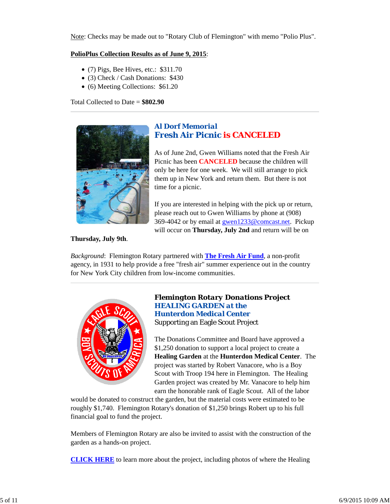Note: Checks may be made out to "Rotary Club of Flemington" with memo "Polio Plus".

#### **PolioPlus Collection Results as of June 9, 2015**:

- (7) Pigs, Bee Hives, etc.: \$311.70
- (3) Check / Cash Donations: \$430
- (6) Meeting Collections: \$61.20

Total Collected to Date = **\$802.90**



# *Al Dorf Memorial Fresh Air Picnic is CANCELED*

As of June 2nd, Gwen Williams noted that the Fresh Air Picnic has been **CANCELED** because the children will only be here for one week. We will still arrange to pick them up in New York and return them. But there is not time for a picnic.

If you are interested in helping with the pick up or return, please reach out to Gwen Williams by phone at (908) 369-4042 or by email at gwen1233@comcast.net. Pickup will occur on **Thursday, July 2nd** and return will be on

#### **Thursday, July 9th**.

*Background*: Flemington Rotary partnered with **The Fresh Air Fund**, a non-profit agency, in 1931 to help provide a free "fresh air" summer experience out in the country for New York City children from low-income communities.



### *Flemington Rotary Donations Project HEALING GARDEN at the Hunterdon Medical Center* Supporting an Eagle Scout Project

The Donations Committee and Board have approved a \$1,250 donation to support a local project to create a **Healing Garden** at the **Hunterdon Medical Center**. The project was started by Robert Vanacore, who is a Boy Scout with Troop 194 here in Flemington. The Healing Garden project was created by Mr. Vanacore to help him earn the honorable rank of Eagle Scout. All of the labor

would be donated to construct the garden, but the material costs were estimated to be roughly \$1,740. Flemington Rotary's donation of \$1,250 brings Robert up to his full financial goal to fund the project.

Members of Flemington Rotary are also be invited to assist with the construction of the garden as a hands-on project.

**CLICK HERE** to learn more about the project, including photos of where the Healing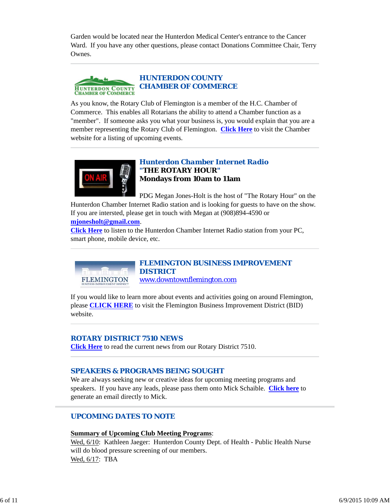Garden would be located near the Hunterdon Medical Center's entrance to the Cancer Ward. If you have any other questions, please contact Donations Committee Chair, Terry Ownes.



As you know, the Rotary Club of Flemington is a member of the H.C. Chamber of Commerce. This enables all Rotarians the ability to attend a Chamber function as a "member". If someone asks you what your business is, you would explain that you are a member representing the Rotary Club of Flemington. **Click Here** to visit the Chamber website for a listing of upcoming events.



**FLEMINGTON** 

# *Hunterdon Chamber Internet Radio "THE ROTARY HOUR"* **Mondays from 10am to 11am**

PDG Megan Jones-Holt is the host of "The Rotary Hour" on the

Hunterdon Chamber Internet Radio station and is looking for guests to have on the show. If you are intersted, please get in touch with Megan at (908)894-4590 or **mjonesholt@gmail.com**.

**Click Here** to listen to the Hunterdon Chamber Internet Radio station from your PC, smart phone, mobile device, etc.

> *FLEMINGTON BUSINESS IMPROVEMENT DISTRICT* www.downtownflemington.com

If you would like to learn more about events and activities going on around Flemington, please **CLICK HERE** to visit the Flemington Business Improvement District (BID) website.

# *ROTARY DISTRICT 7510 NEWS*

**Click Here** to read the current news from our Rotary District 7510.

# *SPEAKERS & PROGRAMS BEING SOUGHT*

We are always seeking new or creative ideas for upcoming meeting programs and speakers. If you have any leads, please pass them onto Mick Schaible. **Click here** to generate an email directly to Mick.

# *UPCOMING DATES TO NOTE*

#### **Summary of Upcoming Club Meeting Programs**:

Wed, 6/10: Kathleen Jaeger: Hunterdon County Dept. of Health - Public Health Nurse will do blood pressure screening of our members. Wed, 6/17: TBA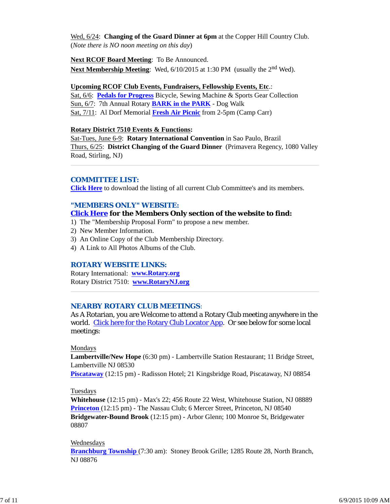Wed, 6/24: **Changing of the Guard Dinner at 6pm** at the Copper Hill Country Club. (*Note there is NO noon meeting on this day*)

# **Next RCOF Board Meeting**: To Be Announced.

**Next Membership Meeting**: Wed, 6/10/2015 at 1:30 PM (usually the 2<sup>nd</sup> Wed).

# **Upcoming RCOF Club Events, Fundraisers, Fellowship Events, Etc**.:

Sat, 6/6: **Pedals for Progress** Bicycle, Sewing Machine & Sports Gear Collection Sun, 6/7: 7th Annual Rotary **BARK in the PARK** - Dog Walk Sat, 7/11: Al Dorf Memorial **Fresh Air Picnic** from 2-5pm (Camp Carr)

### **Rotary District 7510 Events & Functions:**

Sat-Tues, June 6-9: **Rotary International Convention** in Sao Paulo, Brazil Thurs, 6/25: **District Changing of the Guard Dinner** (Primavera Regency, 1080 Valley Road, Stirling, NJ)

### *COMMITTEE LIST:*

**Click Here** to download the listing of all current Club Committee's and its members.

# *"MEMBERS ONLY" WEBSITE:*

### **Click Here for the Members Only section of the website to find:**

- 1) The "Membership Proposal Form" to propose a new member.
- 2) New Member Information.
- 3) An Online Copy of the Club Membership Directory.
- 4) A Link to All Photos Albums of the Club.

#### *ROTARY WEBSITE LINKS:*

Rotary International: **www.Rotary.org** Rotary District 7510: **www.RotaryNJ.org**

#### *NEARBY ROTARY CLUB MEETINGS:*

As A Rotarian, you are Welcome to attend a Rotary Club meeting anywhere in the world. Click here for the Rotary Club Locator App. Or see below for some local meetings:

#### Mondays

**Lambertville/New Hope** (6:30 pm) - Lambertville Station Restaurant; 11 Bridge Street, Lambertville NJ 08530

**Piscataway** (12:15 pm) - Radisson Hotel; 21 Kingsbridge Road, Piscataway, NJ 08854

#### Tuesdays

**Whitehouse** (12:15 pm) - Max's 22; 456 Route 22 West, Whitehouse Station, NJ 08889 **Princeton** (12:15 pm) - The Nassau Club; 6 Mercer Street, Princeton, NJ 08540 **Bridgewater-Bound Brook** (12:15 pm) - Arbor Glenn; 100 Monroe St, Bridgewater 08807

#### Wednesdays

**Branchburg Township** (7:30 am): Stoney Brook Grille; 1285 Route 28, North Branch, NJ 08876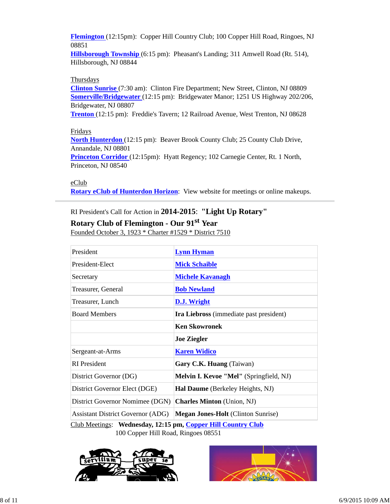**Flemington** (12:15pm): Copper Hill Country Club; 100 Copper Hill Road, Ringoes, NJ 08851

**Hillsborough Township** (6:15 pm): Pheasant's Landing; 311 Amwell Road (Rt. 514), Hillsborough, NJ 08844

#### **Thursdays**

**Clinton Sunrise** (7:30 am): Clinton Fire Department; New Street, Clinton, NJ 08809 **Somerville/Bridgewater** (12:15 pm): Bridgewater Manor; 1251 US Highway 202/206, Bridgewater, NJ 08807

**Trenton** (12:15 pm): Freddie's Tavern; 12 Railroad Avenue, West Trenton, NJ 08628

#### Fridays

**North Hunterdon** (12:15 pm): Beaver Brook County Club; 25 County Club Drive, Annandale, NJ 08801

**Princeton Corridor** (12:15pm): Hyatt Regency; 102 Carnegie Center, Rt. 1 North, Princeton, NJ 08540

#### eClub

**Rotary eClub of Hunterdon Horizon**: View website for meetings or online makeups.

# RI President's Call for Action in **2014-2015**: **"Light Up Rotary"**

# **Rotary Club of Flemington - Our 91st Year**

Founded October 3, 1923 \* Charter #1529 \* District 7510

| President                                | <b>Lynn Hyman</b>                                |  |
|------------------------------------------|--------------------------------------------------|--|
| President-Elect                          | <b>Mick Schaible</b>                             |  |
| Secretary                                | <b>Michele Kavanagh</b>                          |  |
| Treasurer, General                       | <b>Bob Newland</b>                               |  |
| Treasurer, Lunch                         | D.J. Wright                                      |  |
| <b>Board Members</b>                     | Ira Liebross (immediate past president)          |  |
|                                          | <b>Ken Skowronek</b>                             |  |
|                                          | <b>Joe Ziegler</b>                               |  |
| Sergeant-at-Arms                         | <b>Karen Widico</b>                              |  |
| <b>RI</b> President                      | Gary C.K. Huang (Taiwan)                         |  |
| District Governor (DG)                   | Melvin I. Kevoe "Mel" (Springfield, NJ)          |  |
| District Governor Elect (DGE)            | Hal Daume (Berkeley Heights, NJ)                 |  |
| District Governor Nomimee (DGN)          | <b>Charles Minton</b> (Union, NJ)                |  |
| <b>Assistant District Governor (ADG)</b> | <b>Megan Jones-Holt</b> (Clinton Sunrise)        |  |
| $\alpha$ iin amin'ny iona am             | $\alpha$ $\mathbf{r}$ $\alpha$ $\alpha$ $\alpha$ |  |

Club Meetings: **Wednesday, 12:15 pm, Copper Hill Country Club** 100 Copper Hill Road, Ringoes 08551



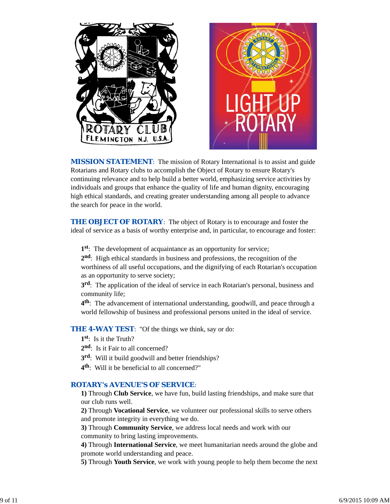



*MISSION STATEMENT*: The mission of Rotary International is to assist and guide Rotarians and Rotary clubs to accomplish the Object of Rotary to ensure Rotary's continuing relevance and to help build a better world, emphasizing service activities by individuals and groups that enhance the quality of life and human dignity, encouraging high ethical standards, and creating greater understanding among all people to advance the search for peace in the world.

**THE OBJECT OF ROTARY:** The object of Rotary is to encourage and foster the ideal of service as a basis of worthy enterprise and, in particular, to encourage and foster:

**1st**: The development of acquaintance as an opportunity for service;

**2nd**: High ethical standards in business and professions, the recognition of the worthiness of all useful occupations, and the dignifying of each Rotarian's occupation as an opportunity to serve society;

**3rd**: The application of the ideal of service in each Rotarian's personal, business and community life;

**4th**: The advancement of international understanding, goodwill, and peace through a world fellowship of business and professional persons united in the ideal of service.

**THE 4-WAY TEST:** "Of the things we think, say or do:

- **1st**: Is it the Truth?
- 2<sup>nd</sup>: Is it Fair to all concerned?
- **3rd**: Will it build goodwill and better friendships?
- **4th**: Will it be beneficial to all concerned?"

#### *ROTARY's AVENUE'S OF SERVICE*:

**1)** Through **Club Service**, we have fun, build lasting friendships, and make sure that our club runs well.

**2)** Through **Vocational Service**, we volunteer our professional skills to serve others and promote integrity in everything we do.

**3)** Through **Community Service**, we address local needs and work with our community to bring lasting improvements.

**4)** Through **International Service**, we meet humanitarian needs around the globe and promote world understanding and peace.

**5)** Through **Youth Service**, we work with young people to help them become the next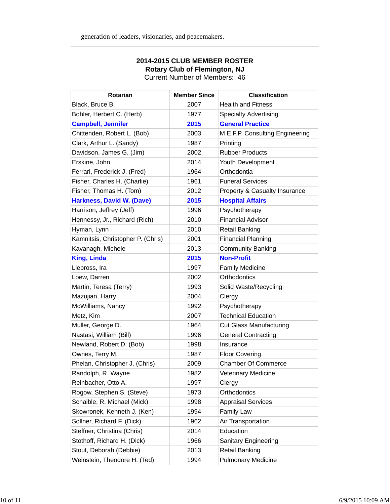| <b>Rotarian</b>                   | <b>Member Since</b> | <b>Classification</b>           |
|-----------------------------------|---------------------|---------------------------------|
| Black, Bruce B.                   | 2007                | <b>Health and Fitness</b>       |
| Bohler, Herbert C. (Herb)         | 1977                | <b>Specialty Advertising</b>    |
| <b>Campbell, Jennifer</b>         | 2015                | <b>General Practice</b>         |
| Chittenden, Robert L. (Bob)       | 2003                | M.E.F.P. Consulting Engineering |
| Clark, Arthur L. (Sandy)          | 1987                | Printing                        |
| Davidson, James G. (Jim)          | 2002                | <b>Rubber Products</b>          |
| Erskine, John                     | 2014                | Youth Development               |
| Ferrari, Frederick J. (Fred)      | 1964                | Orthodontia                     |
| Fisher, Charles H. (Charlie)      | 1961                | <b>Funeral Services</b>         |
| Fisher, Thomas H. (Tom)           | 2012                | Property & Casualty Insurance   |
| <b>Harkness, David W. (Dave)</b>  | 2015                | <b>Hospital Affairs</b>         |
| Harrison, Jeffrey (Jeff)          | 1996                | Psychotherapy                   |
| Hennessy, Jr., Richard (Rich)     | 2010                | <b>Financial Advisor</b>        |
| Hyman, Lynn                       | 2010                | <b>Retail Banking</b>           |
| Kamnitsis, Christopher P. (Chris) | 2001                | <b>Financial Planning</b>       |
| Kavanagh, Michele                 | 2013                | <b>Community Banking</b>        |
| <b>King, Linda</b>                | 2015                | <b>Non-Profit</b>               |
| Liebross, Ira                     | 1997                | <b>Family Medicine</b>          |
| Loew, Darren                      | 2002                | Orthodontics                    |
| Martin, Teresa (Terry)            | 1993                | Solid Waste/Recycling           |
| Mazujian, Harry                   | 2004                | Clergy                          |
| McWilliams, Nancy                 | 1992                | Psychotherapy                   |
| Metz, Kim                         | 2007                | <b>Technical Education</b>      |
| Muller, George D.                 | 1964                | <b>Cut Glass Manufacturing</b>  |
| Nastasi, William (Bill)           | 1996                | <b>General Contracting</b>      |
| Newland, Robert D. (Bob)          | 1998                | Insurance                       |
| Ownes, Terry M.                   | 1987                | <b>Floor Covering</b>           |
| Phelan, Christopher J. (Chris)    | 2009                | <b>Chamber Of Commerce</b>      |
| Randolph, R. Wayne                | 1982                | <b>Veterinary Medicine</b>      |
| Reinbacher, Otto A.               | 1997                | Clergy                          |
| Rogow, Stephen S. (Steve)         | 1973                | Orthodontics                    |
| Schaible, R. Michael (Mick)       | 1998                | <b>Appraisal Services</b>       |
| Skowronek, Kenneth J. (Ken)       | 1994                | <b>Family Law</b>               |
| Sollner, Richard F. (Dick)        | 1962                | Air Transportation              |
| Steffner, Christina (Chris)       | 2014                | Education                       |
| Stothoff, Richard H. (Dick)       | 1966                | <b>Sanitary Engineering</b>     |
| Stout, Deborah (Debbie)           | 2013                | <b>Retail Banking</b>           |
| Weinstein, Theodore H. (Ted)      | 1994                | <b>Pulmonary Medicine</b>       |

### **2014-2015 CLUB MEMBER ROSTER Rotary Club of Flemington, NJ** Current Number of Members: 46